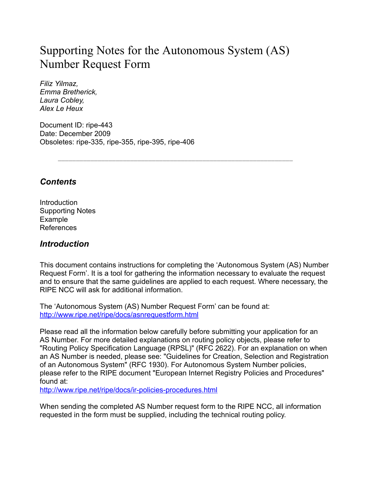# Supporting Notes for the Autonomous System (AS) Number Request Form

*Filiz Yilmaz, Emma Bretherick, Laura Cobley, Alex Le Heux*

Document ID: ripe-443 Date: December 2009 Obsoletes: ripe-335, ripe-355, ripe-395, ripe-406

*Contents*

**Introduction** Supporting Notes Example References

### *Introduction*

This document contains instructions for completing the 'Autonomous System (AS) Number Request Form'. It is a tool for gathering the information necessary to evaluate the request and to ensure that the same guidelines are applied to each request. Where necessary, the RIPE NCC will ask for additional information.

The 'Autonomous System (AS) Number Request Form' can be found at: <http://www.ripe.net/ripe/docs/asnrequestform.html>

Please read all the information below carefully before submitting your application for an AS Number. For more detailed explanations on routing policy objects, please refer to "Routing Policy Specification Language (RPSL)" (RFC 2622). For an explanation on when an AS Number is needed, please see: "Guidelines for Creation, Selection and Registration of an Autonomous System" (RFC 1930). For Autonomous System Number policies, please refer to the RIPE document "European Internet Registry Policies and Procedures" found at:

<http://www.ripe.net/ripe/docs/ir-policies-procedures.html>

When sending the completed AS Number request form to the RIPE NCC, all information requested in the form must be supplied, including the technical routing policy.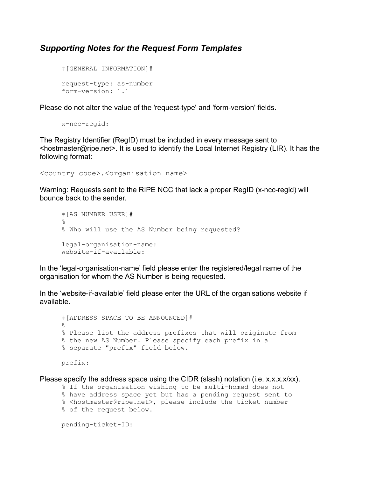#### *Supporting Notes for the Request Form Templates*

```
#[GENERAL INFORMATION]#
request-type: as-number
form-version: 1.1
```
Please do not alter the value of the 'request-type' and 'form-version' fields.

x-ncc-regid:

The Registry Identifier (RegID) must be included in every message sent to <hostmaster@ripe.net>. It is used to identify the Local Internet Registry (LIR). It has the following format:

```
<country code>.<organisation name>
```
Warning: Requests sent to the RIPE NCC that lack a proper RegID (x-ncc-regid) will bounce back to the sender.

```
#[AS NUMBER USER]#
\approx% Who will use the AS Number being requested?
legal-organisation-name:
website-if-available:
```
In the 'legal-organisation-name' field please enter the registered/legal name of the organisation for whom the AS Number is being requested.

In the 'website-if-available' field please enter the URL of the organisations website if available.

```
#[ADDRESS SPACE TO BE ANNOUNCED]#
%
% Please list the address prefixes that will originate from
% the new AS Number. Please specify each prefix in a
% separate "prefix" field below.
```
prefix:

Please specify the address space using the CIDR (slash) notation (i.e.  $x.x.x.x/xx$ ).

```
% If the organisation wishing to be multi-homed does not
```

```
% have address space yet but has a pending request sent to
% <hostmaster@ripe.net>, please include the ticket number
```

```
% of the request below.
```
pending-ticket-ID: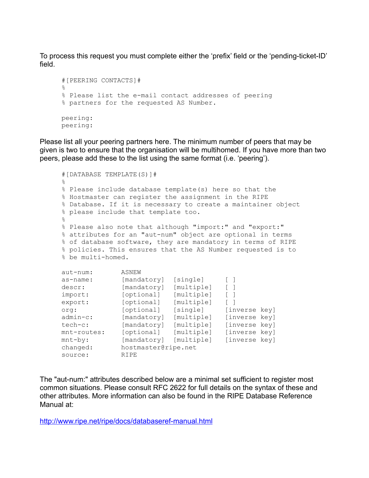To process this request you must complete either the 'prefix' field or the 'pending-ticket-ID' field.

```
#[PEERING CONTACTS]#
\approx% Please list the e-mail contact addresses of peering
% partners for the requested AS Number.
peering:
peering:
```
Please list all your peering partners here. The minimum number of peers that may be given is two to ensure that the organisation will be multihomed. If you have more than two peers, please add these to the list using the same format (i.e. 'peering').

```
#[DATABASE TEMPLATE(S)]#
\approx% Please include database template(s) here so that the
% Hostmaster can register the assignment in the RIPE
% Database. If it is necessary to create a maintainer object
% please include that template too.
\circ% Please also note that although "import:" and "export:"
% attributes for an "aut-num" object are optional in terms
% of database software, they are mandatory in terms of RIPE
% policies. This ensures that the AS Number requested is to
% be multi-homed.
aut-num: ASNEW
as-name: [mandatory] [single] [ ]
descr: [mandatory] [multiple] [ ]
import: [optional] [multiple] [ ]
export: [optional] [multiple] []
org: [optional] [single] [inverse key]
admin-c: [mandatory] [multiple] [inverse key]
tech-c: [mandatory] [multiple] [inverse key]
mnt-routes: [optional] [multiple] [inverse key]
mnt-by: [mandatory] [multiple] [inverse key]
changed: hostmaster@ripe.net
source: RIPE
```
The "aut-num:" attributes described below are a minimal set sufficient to register most common situations. Please consult RFC 2622 for full details on the syntax of these and other attributes. More information can also be found in the RIPE Database Reference Manual at:

<http://www.ripe.net/ripe/docs/databaseref-manual.html>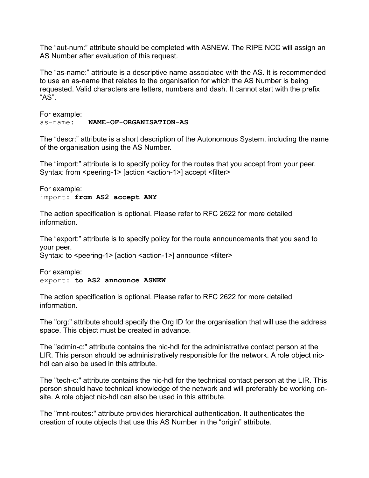The "aut-num:" attribute should be completed with ASNEW. The RIPE NCC will assign an AS Number after evaluation of this request.

The "as-name:" attribute is a descriptive name associated with the AS. It is recommended to use an as-name that relates to the organisation for which the AS Number is being requested. Valid characters are letters, numbers and dash. It cannot start with the prefix  $"AS"$ .

For example: as-name: **NAME-OF-ORGANISATION-AS**

The "descr:" attribute is a short description of the Autonomous System, including the name of the organisation using the AS Number.

The "import:" attribute is to specify policy for the routes that you accept from your peer. Syntax: from <peering-1> [action <action-1>] accept <filter>

For example: import: **from AS2 accept ANY**

The action specification is optional. Please refer to RFC 2622 for more detailed information.

The "export:" attribute is to specify policy for the route announcements that you send to your peer.

Syntax: to <peering-1> [action <action-1>] announce <filter>

For example: export: **to AS2 announce ASNEW**

The action specification is optional. Please refer to RFC 2622 for more detailed information.

The "org:" attribute should specify the Org ID for the organisation that will use the address space. This object must be created in advance.

The "admin-c:" attribute contains the nic-hdl for the administrative contact person at the LIR. This person should be administratively responsible for the network. A role object nichdl can also be used in this attribute.

The "tech-c:" attribute contains the nic-hdl for the technical contact person at the LIR. This person should have technical knowledge of the network and will preferably be working onsite. A role object nic-hdl can also be used in this attribute.

The "mnt-routes:" attribute provides hierarchical authentication. It authenticates the creation of route objects that use this AS Number in the "origin" attribute.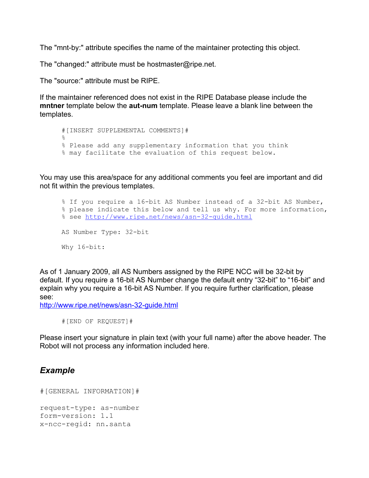The "mnt-by:" attribute specifies the name of the maintainer protecting this object.

The "changed:" attribute must be hostmaster@ripe.net.

The "source:" attribute must be RIPE.

If the maintainer referenced does not exist in the RIPE Database please include the **mntner** template below the **aut-num** template. Please leave a blank line between the templates.

```
#[INSERT SUPPLEMENTAL COMMENTS]#
%
% Please add any supplementary information that you think
% may facilitate the evaluation of this request below.
```
You may use this area/space for any additional comments you feel are important and did not fit within the previous templates.

```
% If you require a 16-bit AS Number instead of a 32-bit AS Number,
% please indicate this below and tell us why. For more information,
% see http://www.ripe.net/news/asn-32-guide.html
AS Number Type: 32-bit
Why 16-bit:
```
As of 1 January 2009, all AS Numbers assigned by the RIPE NCC will be 32-bit by default. If you require a 16-bit AS Number change the default entry "32-bit" to "16-bit" and explain why you require a 16-bit AS Number. If you require further clarification, please see:

<http://www.ripe.net/news/asn-32-guide.html>

```
#[END OF REQUEST]#
```
Please insert your signature in plain text (with your full name) after the above header. The Robot will not process any information included here.

#### *Example*

```
#[GENERAL INFORMATION]#
request-type: as-number
form-version: 1.1
x-ncc-regid: nn.santa
```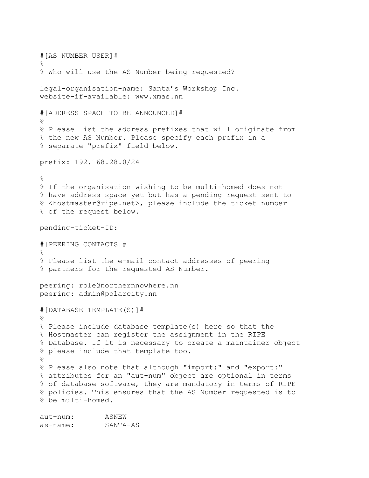#[AS NUMBER USER]# % % Who will use the AS Number being requested? legal-organisation-name: Santa's Workshop Inc. website-if-available: www.xmas.nn #[ADDRESS SPACE TO BE ANNOUNCED]#  $\approx$ % Please list the address prefixes that will originate from % the new AS Number. Please specify each prefix in a % separate "prefix" field below. prefix: 192.168.28.0/24  $\approx$ % If the organisation wishing to be multi-homed does not % have address space yet but has a pending request sent to % <hostmaster@ripe.net>, please include the ticket number % of the request below. pending-ticket-ID: #[PEERING CONTACTS]# % % Please list the e-mail contact addresses of peering % partners for the requested AS Number. peering: role@northernnowhere.nn peering: admin@polarcity.nn #[DATABASE TEMPLATE(S)]# % % Please include database template(s) here so that the % Hostmaster can register the assignment in the RIPE % Database. If it is necessary to create a maintainer object % please include that template too.  $\approx$ % Please also note that although "import:" and "export:" % attributes for an "aut-num" object are optional in terms % of database software, they are mandatory in terms of RIPE % policies. This ensures that the AS Number requested is to % be multi-homed.

aut-num: ASNEW as-name: SANTA-AS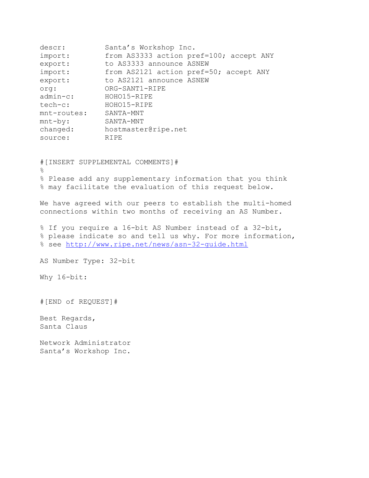| descr:      | Santa's Workshop Inc.                   |
|-------------|-----------------------------------------|
| import:     | from AS3333 action pref=100; accept ANY |
| export:     | to AS3333 announce ASNEW                |
| import:     | from AS2121 action pref=50; accept ANY  |
| export:     | to AS2121 announce ASNEW                |
| crq:        | ORG-SANT1-RIPE                          |
| $admin-c$ : | HOHO15-RIPE                             |
| tech-c:     | HOHO15-RIPE                             |
| mnt-routes: | SANTA-MNT                               |
| $mnt-by:$   | SANTA-MNT                               |
| changed:    | hostmaster@ripe.net                     |
| source:     | <b>RIPE</b>                             |

#[INSERT SUPPLEMENTAL COMMENTS]#  $\approx$ % Please add any supplementary information that you think % may facilitate the evaluation of this request below.

We have agreed with our peers to establish the multi-homed connections within two months of receiving an AS Number.

% If you require a 16-bit AS Number instead of a 32-bit, % please indicate so and tell us why. For more information, % see http://www.ripe.net/news/asn-32-quide.html

AS Number Type: 32-bit

Why 16-bit:

#[END of REQUEST]#

Best Regards, Santa Claus

Network Administrator Santa's Workshop Inc.